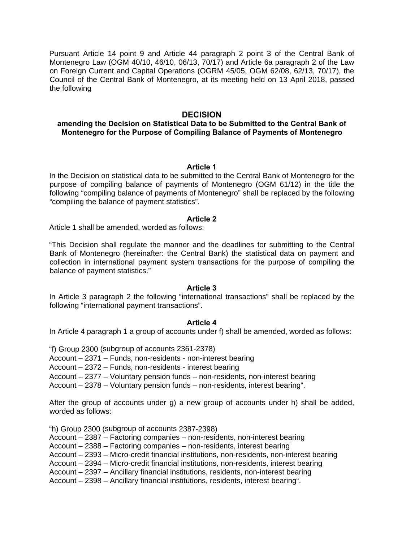Pursuant Article 14 point 9 and Article 44 paragraph 2 point 3 of the Central Bank of Montenegro Law (OGM 40/10, 46/10, 06/13, 70/17) and Article 6a paragraph 2 of the Law on Foreign Current and Capital Operations (OGRM 45/05, OGM 62/08, 62/13, 70/17), the Council of the Central Bank of Montenegro, at its meeting held on 13 April 2018, passed the following

# **DECISION**

# **amending the Decision on Statistical Data to be Submitted to the Central Bank of Montenegro for the Purpose of Compiling Balance of Payments of Montenegro**

## **Article 1**

In the Decision on statistical data to be submitted to the Central Bank of Montenegro for the purpose of compiling balance of payments of Montenegro (OGM 61/12) in the title the following "compiling balance of payments of Montenegro" shall be replaced by the following "compiling the balance of payment statistics".

### **Article 2**

Article 1 shall be amended, worded as follows:

"This Decision shall regulate the manner and the deadlines for submitting to the Central Bank of Montenegro (hereinafter: the Central Bank) the statistical data on payment and collection in international payment system transactions for the purpose of compiling the balance of payment statistics."

#### **Article 3**

In Article 3 paragraph 2 the following "international transactions" shall be replaced by the following "international payment transactions".

## **Article 4**

In Article 4 paragraph 1 a group of accounts under f) shall be amended, worded as follows:

"f) Group 2300 (subgroup of accounts 2361-2378)

Account – 2371 – Funds, non-residents - non-interest bearing

Account – 2372 – Funds, non-residents - interest bearing

Account – 2377 – Voluntary pension funds – non-residents, non-interest bearing

Account – 2378 – Voluntary pension funds – non-residents, interest bearing".

After the group of accounts under g) a new group of accounts under h) shall be added, worded as follows:

"h) Group 2300 (subgroup of accounts 2387-2398)

Account – 2387 – Factoring companies – non-residents, non-interest bearing

Account – 2388 – Factoring companies – non-residents, interest bearing

Account – 2393 – Micro-credit financial institutions, non-residents, non-interest bearing

Account – 2394 – Micro-credit financial institutions, non-residents, interest bearing

Account – 2397 – Ancillary financial institutions, residents, non-interest bearing

Account – 2398 – Ancillary financial institutions, residents, interest bearing".